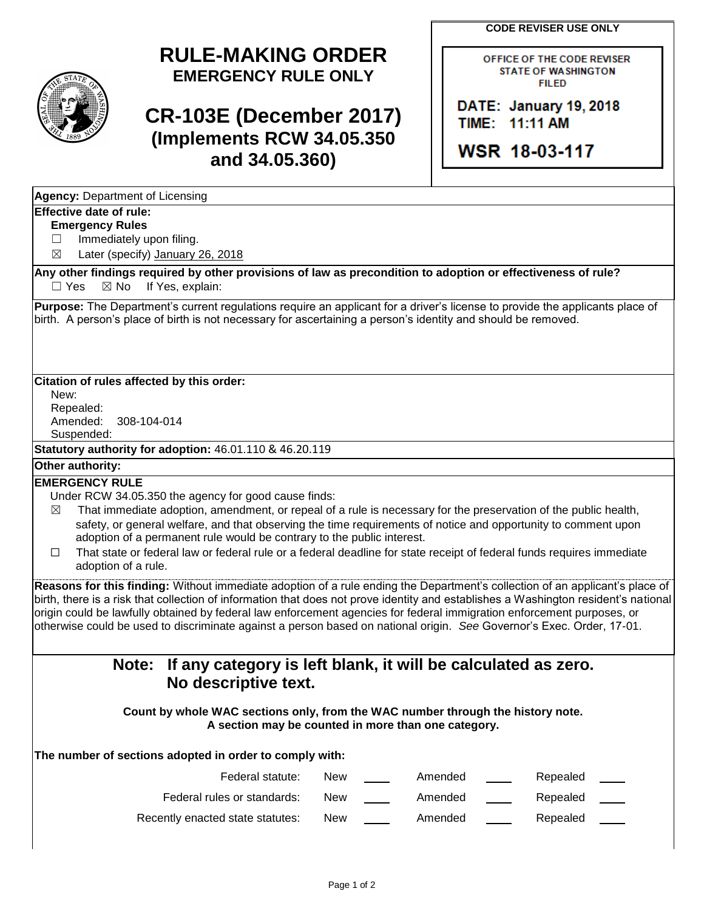**CODE REVISER USE ONLY**



# **RULE-MAKING ORDER EMERGENCY RULE ONLY**

# **CR-103E (December 2017) (Implements RCW 34.05.350 and 34.05.360)**

OFFICE OF THE CODE REVISER **STATE OF WASHINGTON FILED** 

DATE: January 19, 2018 TIME: 11:11 AM

WSR 18-03-117

| <b>Agency: Department of Licensing</b> |  |
|----------------------------------------|--|
|                                        |  |

### **Effective date of rule:**

#### **Emergency Rules**

□ Immediately upon filing.

 $\boxtimes$  Later (specify) January 26, 2018

**Any other findings required by other provisions of law as precondition to adoption or effectiveness of rule?**  $\Box$  Yes  $\boxtimes$  No If Yes, explain:

**Purpose:** The Department's current regulations require an applicant for a driver's license to provide the applicants place of birth. A person's place of birth is not necessary for ascertaining a person's identity and should be removed.

#### **Citation of rules affected by this order:**

New: Repealed: Amended: 308-104-014 Suspended:

**Statutory authority for adoption:** 46.01.110 & 46.20.119

#### **Other authority:**

#### **EMERGENCY RULE**

Under RCW 34.05.350 the agency for good cause finds:

- $\boxtimes$  That immediate adoption, amendment, or repeal of a rule is necessary for the preservation of the public health, safety, or general welfare, and that observing the time requirements of notice and opportunity to comment upon adoption of a permanent rule would be contrary to the public interest.
- ☐ That state or federal law or federal rule or a federal deadline for state receipt of federal funds requires immediate adoption of a rule.

**Reasons for this finding:** Without immediate adoption of a rule ending the Department's collection of an applicant's place of birth, there is a risk that collection of information that does not prove identity and establishes a Washington resident's national origin could be lawfully obtained by federal law enforcement agencies for federal immigration enforcement purposes, or otherwise could be used to discriminate against a person based on national origin. *See* Governor's Exec. Order, 17-01.

## **Note: If any category is left blank, it will be calculated as zero. No descriptive text.**

**Count by whole WAC sections only, from the WAC number through the history note. A section may be counted in more than one category.**

### **The number of sections adopted in order to comply with:**

| Federal statute:                 | New | Amended | Repealed |  |
|----------------------------------|-----|---------|----------|--|
| Federal rules or standards:      | New | Amended | Repealed |  |
| Recently enacted state statutes: | New | Amended | Repealed |  |